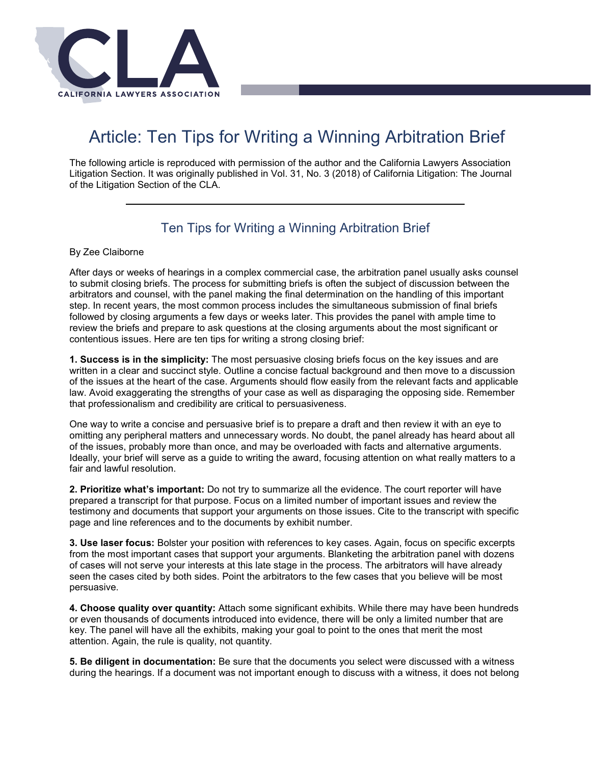

## Article: Ten Tips for Writing a Winning Arbitration Brief

The following article is reproduced with permission of the author and the California Lawyers Association Litigation Section. It was originally published in Vol. 31, No. 3 (2018) of California Litigation: The Journal of the Litigation Section of the CLA.

## Ten Tips for Writing a Winning Arbitration Brief

## By Zee Claiborne

 After days or weeks of hearings in a complex commercial case, the arbitration panel usually asks counsel step. In recent years, the most common process includes the simultaneous submission of final briefs review the briefs and prepare to ask questions at the closing arguments about the most significant or to submit closing briefs. The process for submitting briefs is often the subject of discussion between the arbitrators and counsel, with the panel making the final determination on the handling of this important followed by closing arguments a few days or weeks later. This provides the panel with ample time to contentious issues. Here are ten tips for writing a strong closing brief:

 **1. Success is in the simplicity:** The most persuasive closing briefs focus on the key issues and are written in a clear and succinct style. Outline a concise factual background and then move to a discussion of the issues at the heart of the case. Arguments should flow easily from the relevant facts and applicable law. Avoid exaggerating the strengths of your case as well as disparaging the opposing side. Remember that professionalism and credibility are critical to persuasiveness.

 Ideally, your brief will serve as a guide to writing the award, focusing attention on what really matters to a One way to write a concise and persuasive brief is to prepare a draft and then review it with an eye to omitting any peripheral matters and unnecessary words. No doubt, the panel already has heard about all of the issues, probably more than once, and may be overloaded with facts and alternative arguments. fair and lawful resolution.

 testimony and documents that support your arguments on those issues. Cite to the transcript with specific **2. Prioritize what's important:** Do not try to summarize all the evidence. The court reporter will have prepared a transcript for that purpose. Focus on a limited number of important issues and review the page and line references and to the documents by exhibit number.

 from the most important cases that support your arguments. Blanketing the arbitration panel with dozens seen the cases cited by both sides. Point the arbitrators to the few cases that you believe will be most **3. Use laser focus:** Bolster your position with references to key cases. Again, focus on specific excerpts of cases will not serve your interests at this late stage in the process. The arbitrators will have already persuasive.

**4. Choose quality over quantity:** Attach some significant exhibits. While there may have been hundreds or even thousands of documents introduced into evidence, there will be only a limited number that are key. The panel will have all the exhibits, making your goal to point to the ones that merit the most attention. Again, the rule is quality, not quantity.

 during the hearings. If a document was not important enough to discuss with a witness, it does not belong **5. Be diligent in documentation:** Be sure that the documents you select were discussed with a witness